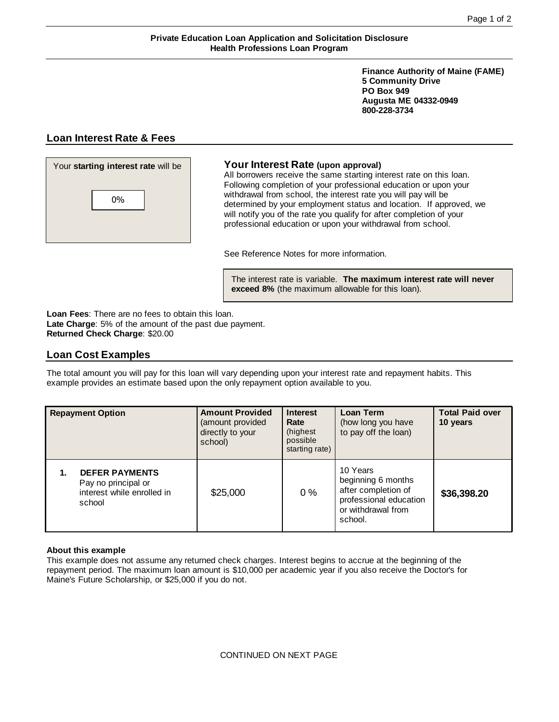# **Private Education Loan Application and Solicitation Disclosure Health Professions Loan Program**

**Finance Authority of Maine (FAME) 5 Community Drive PO Box 949 Augusta ME 04332-0949 800-228-3734**

# **Loan Interest Rate & Fees**



All borrowers receive the same starting interest rate on this loan. Following completion of your professional education or upon your withdrawal from school, the interest rate you will pay will be determined by your employment status and location. If approved, we will notify you of the rate you qualify for after completion of your professional education or upon your withdrawal from school.

See Reference Notes for more information.

The interest rate is variable. **The maximum interest rate will never exceed 8%** (the maximum allowable for this loan).

**Loan Fees**: There are no fees to obtain this loan. **Late Charge**: 5% of the amount of the past due payment. **Returned Check Charge**: \$20.00

# **Loan Cost Examples**

The total amount you will pay for this loan will vary depending upon your interest rate and repayment habits. This example provides an estimate based upon the only repayment option available to you.

| <b>Repayment Option</b>                                                                    | <b>Amount Provided</b><br>(amount provided<br>directly to your<br>school) | <b>Interest</b><br>Rate<br>(highest<br>possible<br>starting rate) | <b>Loan Term</b><br>(how long you have<br>to pay off the loan)                                                   | <b>Total Paid over</b><br>10 years |
|--------------------------------------------------------------------------------------------|---------------------------------------------------------------------------|-------------------------------------------------------------------|------------------------------------------------------------------------------------------------------------------|------------------------------------|
| <b>DEFER PAYMENTS</b><br>1.<br>Pay no principal or<br>interest while enrolled in<br>school | \$25,000                                                                  | $0\%$                                                             | 10 Years<br>beginning 6 months<br>after completion of<br>professional education<br>or withdrawal from<br>school. | \$36,398.20                        |

## **About this example**

This example does not assume any returned check charges. Interest begins to accrue at the beginning of the repayment period. The maximum loan amount is \$10,000 per academic year if you also receive the Doctor's for Maine's Future Scholarship, or \$25,000 if you do not.